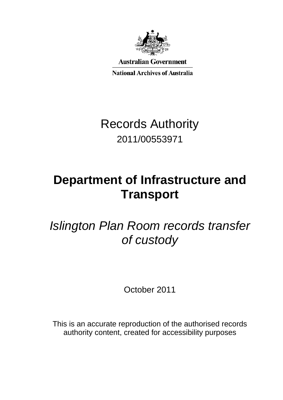

**Australian Government** 

**National Archives of Australia** 

Records Authority 2011/00553971

# **Department of Infrastructure and Transport**

*Islington Plan Room records transfer of custody*

October 2011

This is an accurate reproduction of the authorised records authority content, created for accessibility purposes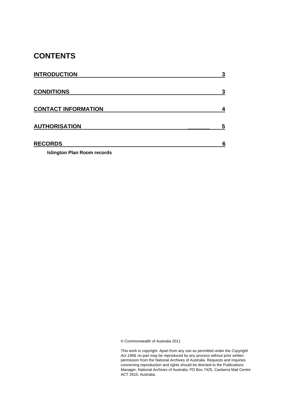# **CONTENTS**

| <b>INTRODUCTION</b>        | 2 |
|----------------------------|---|
| <b>CONDITIONS</b>          | 3 |
| <b>CONTACT INFORMATION</b> | 4 |
| <b>AUTHORISATION</b>       | 5 |
| <b>RECORDS</b>             | 6 |

**Islington Plan Room records** 

© Commonwealth of Australia 2011

This work is copyright. Apart from any use as permitted under the *Copyright Act 1968,* no part may be reproduced by any process without prior written permission from the National Archives of Australia. Requests and inquiries concerning reproduction and rights should be directed to the Publications Manager, National Archives of Australia, PO Box 7425, Canberra Mail Centre ACT 2610, Australia.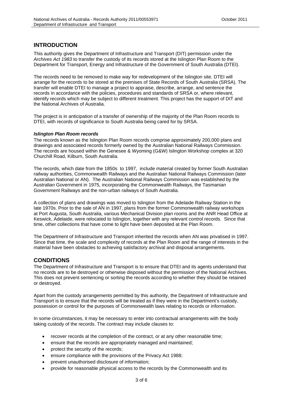## **INTRODUCTION**

This authority gives the Department of Infrastructure and Transport (DIT) permission under the *Archives Act 1983* to transfer the custody of its records stored at the Islington Plan Room to the Department for Transport, Energy and Infrastructure of the Government of South Australia (DTEI).

The records need to be removed to make way for redevelopment of the Islington site. DTEI will arrange for the records to be stored at the premises of State Records of South Australia (SRSA). The transfer will enable DTEI to manage a project to appraise, describe, arrange, and sentence the records in accordance with the policies, procedures and standards of SRSA or, where relevant, identify records which may be subject to different treatment. This project has the support of DIT and the National Archives of Australia.

The project is in anticipation of a transfer of ownership of the majority of the Plan Room records to DTEI, with records of significance to South Australia being cared for by SRSA.

#### *Islington Plan Room records*

The records known as the Islington Plan Room records comprise approximately 200,000 plans and drawings and associated records formerly owned by the Australian National Railways Commission. The records are housed within the Genesee & Wyoming (G&W) Islington Workshop complex at 320 Churchill Road, Kilburn, South Australia.

The records, which date from the 1850s to 1997, include material created by former South Australian railway authorities, Commonwealth Railways and the Australian National Railways Commission (later Australian National or AN). The Australian National Railways Commission was established by the Australian Government in 1975, incorporating the Commonwealth Railways, the Tasmanian Government Railways and the non-urban railways of South Australia.

A collection of plans and drawings was moved to Islington from the Adelaide Railway Station in the late 1970s. Prior to the sale of AN in 1997, plans from the former Commonwealth railway workshops at Port Augusta, South Australia, various Mechanical Division plan rooms and the ANR Head Office at Keswick, Adelaide, were relocated to Islington, together with any relevant control records. Since that time, other collections that have come to light have been deposited at the Plan Room.

The Department of Infrastructure and Transport inherited the records when AN was privatised in 1997. Since that time, the scale and complexity of records at the Plan Room and the range of interests in the material have been obstacles to achieving satisfactory archival and disposal arrangements.

## **CONDITIONS**

The Department of Infrastructure and Transport is to ensure that DTEI and its agents understand that no records are to be destroyed or otherwise disposed without the permission of the National Archives. This does not prevent sentencing or sorting the records according to whether they should be retained or destroyed.

Apart from the custody arrangements permitted by this authority, the Department of Infrastructure and Transport is to ensure that the records will be treated as if they were in the Department's custody, possession or control for the purposes of Commonwealth laws relating to records or information.

In some circumstances, it may be necessary to enter into contractual arrangements with the body taking custody of the records. The contract may include clauses to:

- recover records at the completion of the contract, or at any other reasonable time;
- ensure that the records are appropriately managed and maintained;
- protect the security of the records;
- ensure compliance with the provisions of the Privacy Act 1988;
- prevent unauthorised disclosure of information;
- provide for reasonable physical access to the records by the Commonwealth and its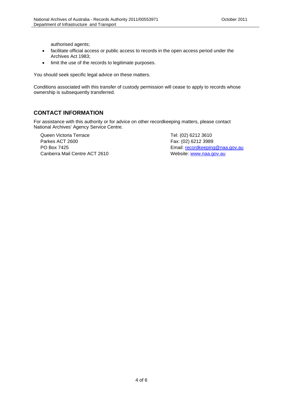authorised agents;

- facilitate official access or public access to records in the open access period under the Archives Act 1983;
- limit the use of the records to legitimate purposes.

You should seek specific legal advice on these matters.

Conditions associated with this transfer of custody permission will cease to apply to records whose ownership is subsequently transferred.

## **CONTACT INFORMATION**

For assistance with this authority or for advice on other recordkeeping matters, please contact National Archives' Agency Service Centre.

Canberra Mail Centre ACT 2610 Queen Victoria Terrace Tel: (02) 6212 3610 Parkes ACT 2600 **Fax: (02) 6212 3989** 

PO Box 7425 Email: <u>recordkeeping@naa.gov.au</u><br>Canberra Mail Centre ACT 2610 Website: <u>www.naa.gov.au</u>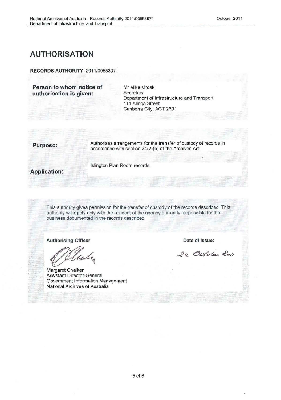# **AUTHORISATION**

**RECORDS AUTHORITY** 2011/00553971

**Person to whom notice of authorisation is given:** 

Mr Mike Mrdak **Secretary** Department of Infrastructure and Transport 111 Alinga Street Canberra City, ACT 2601

**Purpose:** Authorises arrangements for the transfer of custody of records in accordance with section 24(2)(b) of the Archives Act.

Islington Plan Room records.

**Application:** 

This authority gives permission for the transfer of custody of the records described. This authority will apply only with the consent of the agency currently responsible for the business documented in the records described.

**Authorising Officer** 

'le

Margaret Chalker Assistant Director-General Government Information Management National Archives of Australia

**Date of issue:** 

24 October 2011